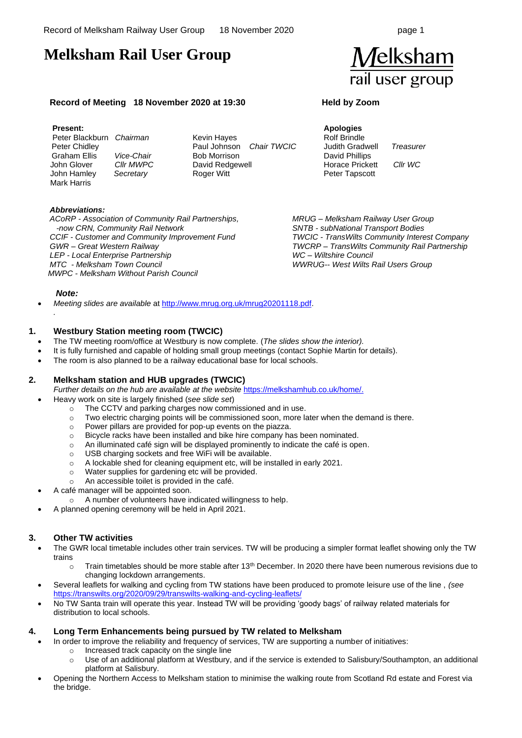$\boldsymbol{\mathit{f}}$ elksham

rail user group

# **Melksham Rail User Group**

### **Record of Meeting 18 November 2020 at 19:30 Held by Zoom**

#### **Present:**

 Peter Blackburn *Chairman*  Peter Chidley Graham Ellis *Vice-Chair* John Glover *Cllr MWPC* John Hamley *Secretary* Mark Harris

Kevin Hayes Paul Johnson *Chair TWCIC*  Bob Morrison David Redgewell Roger Witt

**Apologies** Rolf Brindle Judith Gradwell *Treasurer* David Phillips Horace Prickett *Cllr WC* Peter Tapscott

### *Abbreviations:*

*ACoRP - Association of Community Rail Partnerships, -now CRN, Community Rail Network CCIF - Customer and Community Improvement Fund GWR – Great Western Railway LEP - Local Enterprise Partnership MTC - Melksham Town Council MWPC - Melksham Without Parish Council*

*MRUG – Melksham Railway User Group SNTB - subNational Transport Bodies TWCIC - TransWilts Community Interest Company TWCRP – TransWilts Community Rail Partnership WC – Wiltshire Council WWRUG-- West Wilts Rail Users Group*

#### *Note:*

*.*

• *Meeting slides are available* a[t http://www.mrug.org.uk/mrug20201118.pdf.](http://www.mrug.org.uk/mrug20201118.pdf)

### **1. Westbury Station meeting room (TWCIC)**

- The TW meeting room/office at Westbury is now complete. (*The slides show the interior).*
- It is fully furnished and capable of holding small group meetings (contact Sophie Martin for details).
- The room is also planned to be a railway educational base for local schools.

# **2. Melksham station and HUB upgrades (TWCIC)**

*Further details on the hub are available at the website* [https://melkshamhub.co.uk/home/.](https://melkshamhub.co.uk/home/)

- Heavy work on site is largely finished (*see slide set*)
	- o The CCTV and parking charges now commissioned and in use.
	- $\circ$  Two electric charging points will be commissioned soon, more later when the demand is there.
	- o Power pillars are provided for pop-up events on the piazza.
	- o Bicycle racks have been installed and bike hire company has been nominated.
	- $\circ$  An illuminated café sign will be displayed prominently to indicate the café is open.
	- o USB charging sockets and free WiFi will be available.
	- o A lockable shed for cleaning equipment etc, will be installed in early 2021.
	- o Water supplies for gardening etc will be provided.
	- o An accessible toilet is provided in the café.
- A café manager will be appointed soon.
	- o A number of volunteers have indicated willingness to help.
- A planned opening ceremony will be held in April 2021.

#### **3. Other TW activities**

- The GWR local timetable includes other train services. TW will be producing a simpler format leaflet showing only the TW trains
	- $\circ$  Train timetables should be more stable after 13<sup>th</sup> December. In 2020 there have been numerous revisions due to changing lockdown arrangements.
- Several leaflets for walking and cycling from TW stations have been produced to promote leisure use of the line , *(see*  <https://transwilts.org/2020/09/29/transwilts-walking-and-cycling-leaflets/>
- No TW Santa train will operate this year. Instead TW will be providing 'goody bags' of railway related materials for distribution to local schools.

#### **4. Long Term Enhancements being pursued by TW related to Melksham**

- In order to improve the reliability and frequency of services, TW are supporting a number of initiatives:
	- o Increased track capacity on the single line
	- o Use of an additional platform at Westbury, and if the service is extended to Salisbury/Southampton, an additional platform at Salisbury.
- Opening the Northern Access to Melksham station to minimise the walking route from Scotland Rd estate and Forest via the bridge.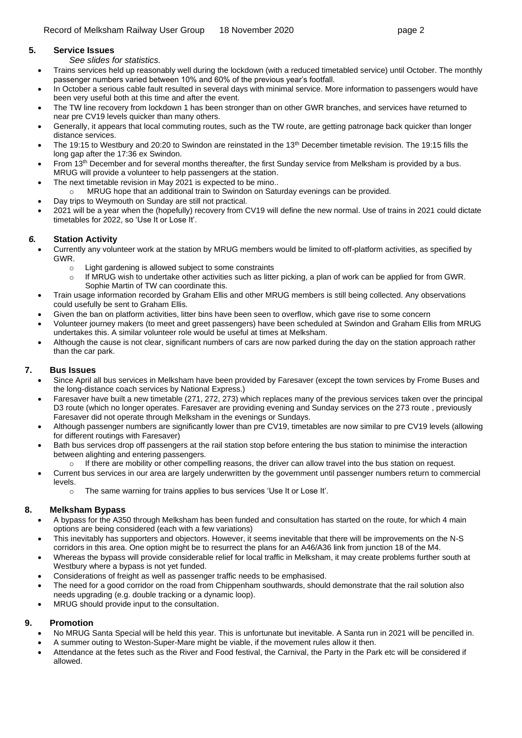#### **5. Service Issues**

- *See slides for statistics.*
- Trains services held up reasonably well during the lockdown (with a reduced timetabled service) until October. The monthly passenger numbers varied between 10% and 60% of the previous year's footfall.
- In October a serious cable fault resulted in several days with minimal service. More information to passengers would have been very useful both at this time and after the event.
- The TW line recovery from lockdown 1 has been stronger than on other GWR branches, and services have returned to near pre CV19 levels quicker than many others.
- Generally, it appears that local commuting routes, such as the TW route, are getting patronage back quicker than longer distance services.
- The 19:15 to Westbury and 20:20 to Swindon are reinstated in the 13<sup>th</sup> December timetable revision. The 19:15 fills the long gap after the 17:36 ex Swindon.
- From 13<sup>th</sup> December and for several months thereafter, the first Sunday service from Melksham is provided by a bus. MRUG will provide a volunteer to help passengers at the station.
- The next timetable revision in May 2021 is expected to be mino..
	- $\circ$  MRUG hope that an additional train to Swindon on Saturday evenings can be provided.
- Day trips to Weymouth on Sunday are still not practical.
- 2021 will be a year when the (hopefully) recovery from CV19 will define the new normal. Use of trains in 2021 could dictate timetables for 2022, so 'Use It or Lose It'.

# *6.* **Station Activity**

- Currently any volunteer work at the station by MRUG members would be limited to off-platform activities, as specified by GWR.
	- o Light gardening is allowed subject to some constraints
	- $\circ$  If MRUG wish to undertake other activities such as litter picking, a plan of work can be applied for from GWR. Sophie Martin of TW can coordinate this.
- Train usage information recorded by Graham Ellis and other MRUG members is still being collected. Any observations could usefully be sent to Graham Ellis.
- Given the ban on platform activities, litter bins have been seen to overflow, which gave rise to some concern
- Volunteer journey makers (to meet and greet passengers) have been scheduled at Swindon and Graham Ellis from MRUG undertakes this. A similar volunteer role would be useful at times at Melksham.
- Although the cause is not clear, significant numbers of cars are now parked during the day on the station approach rather than the car park.

# **7. Bus Issues**

- Since April all bus services in Melksham have been provided by Faresaver (except the town services by Frome Buses and the long-distance coach services by National Express.)
- Faresaver have built a new timetable (271, 272, 273) which replaces many of the previous services taken over the principal D3 route (which no longer operates. Faresaver are providing evening and Sunday services on the 273 route , previously Faresaver did not operate through Melksham in the evenings or Sundays.
- Although passenger numbers are significantly lower than pre CV19, timetables are now similar to pre CV19 levels (allowing for different routings with Faresaver)
- Bath bus services drop off passengers at the rail station stop before entering the bus station to minimise the interaction between alighting and entering passengers.
	- $\circ$  If there are mobility or other compelling reasons, the driver can allow travel into the bus station on request.
- Current bus services in our area are largely underwritten by the government until passenger numbers return to commercial levels.
	- o The same warning for trains applies to bus services 'Use It or Lose It'.

# **8. Melksham Bypass**

- A bypass for the A350 through Melksham has been funded and consultation has started on the route, for which 4 main options are being considered (each with a few variations)
- This inevitably has supporters and objectors. However, it seems inevitable that there will be improvements on the N-S corridors in this area. One option might be to resurrect the plans for an A46/A36 link from junction 18 of the M4.
- Whereas the bypass will provide considerable relief for local traffic in Melksham, it may create problems further south at Westbury where a bypass is not yet funded.
- Considerations of freight as well as passenger traffic needs to be emphasised.
- The need for a good corridor on the road from Chippenham southwards, should demonstrate that the rail solution also needs upgrading (e.g. double tracking or a dynamic loop).
- MRUG should provide input to the consultation.

# **9. Promotion**

- No MRUG Santa Special will be held this year. This is unfortunate but inevitable. A Santa run in 2021 will be pencilled in.
- A summer outing to Weston-Super-Mare might be viable, if the movement rules allow it then.
- Attendance at the fetes such as the River and Food festival, the Carnival, the Party in the Park etc will be considered if allowed.